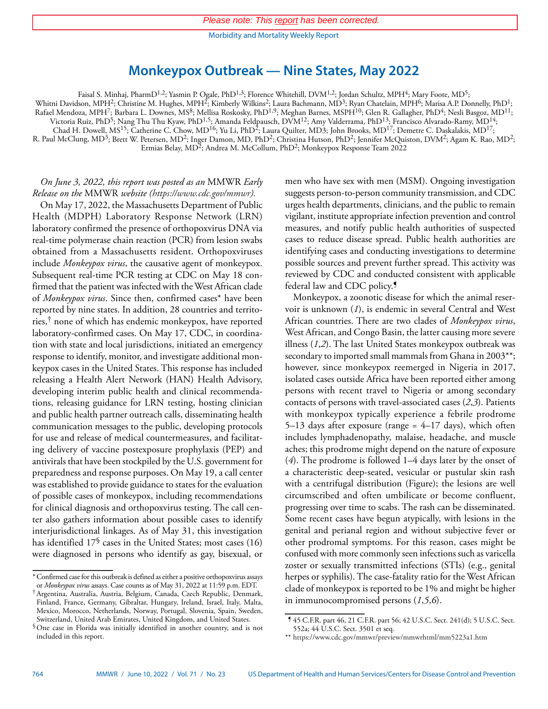Morbidity and Mortality Weekly Report

# **Monkeypox Outbreak — Nine States, May 2022**

Faisal S. Minhaj, PharmD1,2; Yasmin P. Ogale, PhD1,3; Florence Whitehill, DVM1,2; Jordan Schultz, MPH4; Mary Foote, MD5;

Whitni Davidson, MPH<sup>2</sup>; Christine M. Hughes, MPH<sup>2</sup>; Kimberly Wilkins<sup>2</sup>; Laura Bachmann, MD<sup>3</sup>; Ryan Chatelain, MPH<sup>6</sup>; Marisa A.P. Donnelly, PhD<sup>1</sup>;

Rafael Mendoza, MPH7; Barbara L. Downes, MS8; Mellisa Roskosky, PhD1,9; Meghan Barnes, MSPH10; Glen R. Gallagher, PhD4; Nesli Basgoz, MD11;

Victoria Ruiz, PhD<sup>5</sup>; Nang Thu Thu Kyaw, PhD<sup>1,5</sup>; Amanda Feldpausch, DVM<sup>12</sup>; Amy Valderrama, PhD<sup>13</sup>; Francisco Alvarado-Ramy, MD<sup>14</sup>; Chad H. Dowell, MS<sup>15</sup>; Catherine C. Chow, MD<sup>16</sup>; Yu Li, PhD<sup>2</sup>; Laura Quilter, MD3; John Brooks, MD<sup>17</sup>; Demetre C. Daskalakis, MD<sup>17</sup>;

R. Paul McClung, MD<sup>3</sup>; Brett W. Petersen, MD<sup>2</sup>; Inger Damon, MD, PhD<sup>2</sup>; Christina Hutson, PhD<sup>2</sup>; Jennifer McQuiston, DVM<sup>2</sup>; Agam K. Rao, MD<sup>2</sup>; Ermias Belay, MD<sup>2</sup>; Andrea M. McCollum, PhD<sup>2</sup>; Monkeypox Response Team 2022

*On June 3, 2022, this report was posted as an* MMWR *Early Release on the* MMWR *website [\(https://www.cdc.gov/mmwr\)](https://www.cdc.gov/mmwr).*

On May 17, 2022, the Massachusetts Department of Public Health (MDPH) Laboratory Response Network (LRN) laboratory confirmed the presence of orthopoxvirus DNA via real-time polymerase chain reaction (PCR) from lesion swabs obtained from a Massachusetts resident. Orthopoxviruses include *Monkeypox virus*, the causative agent of monkeypox. Subsequent real-time PCR testing at CDC on May 18 confirmed that the patient was infected with the West African clade of *Monkeypox virus*. Since then, confirmed cases\* have been reported by nine states. In addition, 28 countries and territories,† none of which has endemic monkeypox, have reported laboratory-confirmed cases. On May 17, CDC, in coordination with state and local jurisdictions, initiated an emergency response to identify, monitor, and investigate additional monkeypox cases in the United States. This response has included releasing a Health Alert Network (HAN) Health Advisory, developing interim public health and clinical recommendations, releasing guidance for LRN testing, hosting clinician and public health partner outreach calls, disseminating health communication messages to the public, developing protocols for use and release of medical countermeasures, and facilitating delivery of vaccine postexposure prophylaxis (PEP) and antivirals that have been stockpiled by the U.S. government for preparedness and response purposes. On May 19, a call center was established to provide guidance to states for the evaluation of possible cases of monkeypox, including recommendations for clinical diagnosis and orthopoxvirus testing. The call center also gathers information about possible cases to identify interjurisdictional linkages. As of May 31, this investigation has identified 17<sup>§</sup> cases in the United States; most cases (16) were diagnosed in persons who identify as gay, bisexual, or

men who have sex with men (MSM). Ongoing investigation suggests person-to-person community transmission, and CDC urges health departments, clinicians, and the public to remain vigilant, institute appropriate infection prevention and control measures, and notify public health authorities of suspected cases to reduce disease spread. Public health authorities are identifying cases and conducting investigations to determine possible sources and prevent further spread. This activity was reviewed by CDC and conducted consistent with applicable federal law and CDC policy.<sup>9</sup>

Monkeypox, a zoonotic disease for which the animal reservoir is unknown (*1*), is endemic in several Central and West African countries. There are two clades of *Monkeypox virus*, West African, and Congo Basin, the latter causing more severe illness (*1*,*2*). The last United States monkeypox outbreak was secondary to imported small mammals from Ghana in 2003\*\*; however, since monkeypox reemerged in Nigeria in 2017, isolated cases outside Africa have been reported either among persons with recent travel to Nigeria or among secondary contacts of persons with travel-associated cases (*2*,*3*). Patients with monkeypox typically experience a febrile prodrome 5–13 days after exposure (range  $=$  4–17 days), which often includes lymphadenopathy, malaise, headache, and muscle aches; this prodrome might depend on the nature of exposure (*4*). The prodrome is followed 1–4 days later by the onset of a characteristic deep-seated, vesicular or pustular skin rash with a centrifugal distribution (Figure); the lesions are well circumscribed and often umbilicate or become confluent, progressing over time to scabs. The rash can be disseminated. Some recent cases have begun atypically, with lesions in the genital and perianal region and without subjective fever or other prodromal symptoms. For this reason, cases might be confused with more commonly seen infections such as varicella zoster or sexually transmitted infections (STIs) (e.g., genital herpes or syphilis). The case-fatality ratio for the West African clade of monkeypox is reported to be 1% and might be higher in immunocompromised persons (*1*,*5*,*6*).

<sup>\*</sup>Confirmed case for this outbreak is defined as either a positive orthopoxvirus assays or *Monkeypox virus* assays. Case counts as of May 31, 2022 at 11:59 p.m. EDT.

<sup>†</sup>Argentina, Australia, Austria, Belgium, Canada, Czech Republic, Denmark, Finland, France, Germany, Gibraltar, Hungary, Ireland, Israel, Italy, Malta, Mexico, Morocco, Netherlands, Norway, Portugal, Slovenia, Spain, Sweden, Switzerland, United Arab Emirates, United Kingdom, and United States.

<sup>§</sup>One case in Florida was initially identified in another country, and is not included in this report.

<sup>¶</sup> 45 C.F.R. part 46, 21 C.F.R. part 56; 42 U.S.C. Sect. 241(d); 5 U.S.C. Sect. 552a; 44 U.S.C. Sect. 3501 et seq.

<sup>\*\*</sup> <https://www.cdc.gov/mmwr/preview/mmwrhtml/mm5223a1.htm>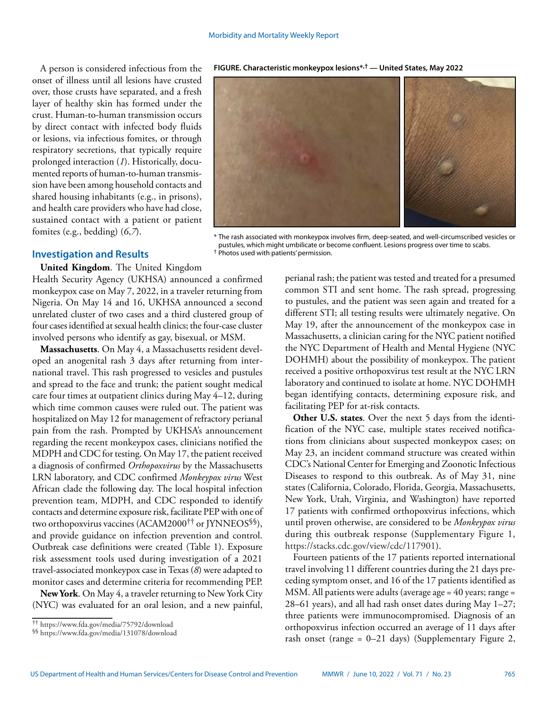A person is considered infectious from the onset of illness until all lesions have crusted over, those crusts have separated, and a fresh layer of healthy skin has formed under the crust. Human-to-human transmission occurs by direct contact with infected body fluids or lesions, via infectious fomites, or through respiratory secretions, that typically require prolonged interaction (*1*). Historically, documented reports of human-to-human transmission have been among household contacts and shared housing inhabitants (e.g., in prisons), and health care providers who have had close, sustained contact with a patient or patient fomites (e.g., bedding) (*6*,*7*).

**FIGURE. Characteristic monkeypox lesions\*,† — United States, May 2022**

\* The rash associated with monkeypox involves firm, deep-seated, and well-circumscribed vesicles or pustules, which might umbilicate or become confluent. Lesions progress over time to scabs. † Photos used with patients' permission.

### **Investigation and Results**

**United Kingdom**. The United Kingdom

Health Security Agency (UKHSA) announced a confirmed monkeypox case on May 7, 2022, in a traveler returning from Nigeria. On May 14 and 16, UKHSA announced a second unrelated cluster of two cases and a third clustered group of four cases identified at sexual health clinics; the four-case cluster involved persons who identify as gay, bisexual, or MSM.

**Massachusetts**. On May 4, a Massachusetts resident developed an anogenital rash 3 days after returning from international travel. This rash progressed to vesicles and pustules and spread to the face and trunk; the patient sought medical care four times at outpatient clinics during May 4–12, during which time common causes were ruled out. The patient was hospitalized on May 12 for management of refractory perianal pain from the rash. Prompted by UKHSA's announcement regarding the recent monkeypox cases, clinicians notified the MDPH and CDC for testing. On May 17, the patient received a diagnosis of confirmed *Orthopoxvirus* by the Massachusetts LRN laboratory, and CDC confirmed *Monkeypox virus* West African clade the following day. The local hospital infection prevention team, MDPH, and CDC responded to identify contacts and determine exposure risk, facilitate PEP with one of two orthopoxvirus vaccines (ACAM2000†† or JYNNEOS§§), and provide guidance on infection prevention and control. Outbreak case definitions were created (Table 1). Exposure risk assessment tools used during investigation of a 2021 travel-associated monkeypox case in Texas (*8*) were adapted to monitor cases and determine criteria for recommending PEP.

**New York**. On May 4, a traveler returning to New York City (NYC) was evaluated for an oral lesion, and a new painful, perianal rash; the patient was tested and treated for a presumed common STI and sent home. The rash spread, progressing to pustules, and the patient was seen again and treated for a different STI; all testing results were ultimately negative. On May 19, after the announcement of the monkeypox case in Massachusetts, a clinician caring for the NYC patient notified the NYC Department of Health and Mental Hygiene (NYC DOHMH) about the possibility of monkeypox. The patient received a positive orthopoxvirus test result at the NYC LRN laboratory and continued to isolate at home. NYC DOHMH began identifying contacts, determining exposure risk, and facilitating PEP for at-risk contacts.

**Other U.S. states**. Over the next 5 days from the identification of the NYC case, multiple states received notifications from clinicians about suspected monkeypox cases; on May 23, an incident command structure was created within CDC's National Center for Emerging and Zoonotic Infectious Diseases to respond to this outbreak. As of May 31, nine states (California, Colorado, Florida, Georgia, Massachusetts, New York, Utah, Virginia, and Washington) have reported 17 patients with confirmed orthopoxvirus infections, which until proven otherwise, are considered to be *Monkeypox virus* during this outbreak response (Supplementary Figure 1, [https://stacks.cdc.gov/view/cdc/117901\)](https://stacks.cdc.gov/view/cdc/117901).

Fourteen patients of the 17 patients reported international travel involving 11 different countries during the 21 days preceding symptom onset, and 16 of the 17 patients identified as MSM. All patients were adults (average age = 40 years; range = 28–61 years), and all had rash onset dates during May 1–27; three patients were immunocompromised. Diagnosis of an orthopoxvirus infection occurred an average of 11 days after rash onset (range = 0–21 days) (Supplementary Figure 2,

<sup>††</sup> <https://www.fda.gov/media/75792/download>

<sup>§§</sup> <https://www.fda.gov/media/131078/download>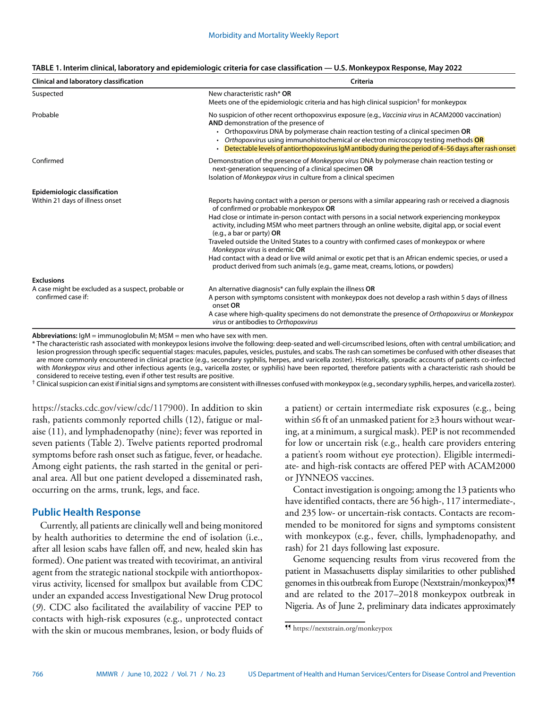| TABLE 1. Interim clinical, laboratory and epidemiologic criteria for case classification — U.S. Monkeypox Response, May 2022 |  |  |  |
|------------------------------------------------------------------------------------------------------------------------------|--|--|--|
|------------------------------------------------------------------------------------------------------------------------------|--|--|--|

| Clinical and laboratory classification             | Criteria                                                                                                                                                                                                                                                                                                                                                                                                                         |  |  |
|----------------------------------------------------|----------------------------------------------------------------------------------------------------------------------------------------------------------------------------------------------------------------------------------------------------------------------------------------------------------------------------------------------------------------------------------------------------------------------------------|--|--|
| Suspected                                          | New characteristic rash* OR<br>Meets one of the epidemiologic criteria and has high clinical suspicion <sup>†</sup> for monkeypox                                                                                                                                                                                                                                                                                                |  |  |
| Probable                                           | No suspicion of other recent orthopoxvirus exposure (e.g., Vaccinia virus in ACAM2000 vaccination)<br>AND demonstration of the presence of<br>• Orthopoxvirus DNA by polymerase chain reaction testing of a clinical specimen OR<br>• Orthopoxvirus using immunohistochemical or electron microscopy testing methods OR<br>• Detectable levels of antiorthopoxvirus IgM antibody during the period of 4-56 days after rash onset |  |  |
| Confirmed                                          | Demonstration of the presence of Monkeypox virus DNA by polymerase chain reaction testing or<br>next-generation sequencing of a clinical specimen OR<br>Isolation of Monkeypox virus in culture from a clinical specimen                                                                                                                                                                                                         |  |  |
| <b>Epidemiologic classification</b>                |                                                                                                                                                                                                                                                                                                                                                                                                                                  |  |  |
| Within 21 days of illness onset                    | Reports having contact with a person or persons with a similar appearing rash or received a diagnosis<br>of confirmed or probable monkeypox OR<br>Had close or intimate in-person contact with persons in a social network experiencing monkeypox                                                                                                                                                                                |  |  |
|                                                    | activity, including MSM who meet partners through an online website, digital app, or social event<br>(e.g., a bar or party) OR                                                                                                                                                                                                                                                                                                   |  |  |
|                                                    | Traveled outside the United States to a country with confirmed cases of monkeypox or where<br>Monkeypox virus is endemic OR                                                                                                                                                                                                                                                                                                      |  |  |
|                                                    | Had contact with a dead or live wild animal or exotic pet that is an African endemic species, or used a<br>product derived from such animals (e.g., game meat, creams, lotions, or powders)                                                                                                                                                                                                                                      |  |  |
| <b>Exclusions</b>                                  |                                                                                                                                                                                                                                                                                                                                                                                                                                  |  |  |
| A case might be excluded as a suspect, probable or | An alternative diagnosis* can fully explain the illness OR                                                                                                                                                                                                                                                                                                                                                                       |  |  |
| confirmed case if:                                 | A person with symptoms consistent with monkeypox does not develop a rash within 5 days of illness<br>onset OR                                                                                                                                                                                                                                                                                                                    |  |  |
|                                                    | A case where high-quality specimens do not demonstrate the presence of Orthopoxvirus or Monkeypox<br>virus or antibodies to Orthopoxvirus                                                                                                                                                                                                                                                                                        |  |  |

**Abbreviations:** IgM = immunoglobulin M; MSM = men who have sex with men.

\* The characteristic rash associated with monkeypox lesions involve the following: deep-seated and well-circumscribed lesions, often with central umbilication; and lesion progression through specific sequential stages: macules, papules, vesicles, pustules, and scabs. The rash can sometimes be confused with other diseases that are more commonly encountered in clinical practice (e.g., secondary syphilis, herpes, and varicella zoster). Historically, sporadic accounts of patients co-infected with *Monkeypox virus* and other infectious agents (e.g., varicella zoster, or syphilis) have been reported, therefore patients with a characteristic rash should be considered to receive testing, even if other test results are positive.

† Clinical suspicion can exist if initial signs and symptoms are consistent with illnesses confused with monkeypox (e.g., secondary syphilis, herpes, and varicella zoster).

<https://stacks.cdc.gov/view/cdc/117900>). In addition to skin rash, patients commonly reported chills (12), fatigue or malaise (11), and lymphadenopathy (nine); fever was reported in seven patients (Table 2). Twelve patients reported prodromal symptoms before rash onset such as fatigue, fever, or headache. Among eight patients, the rash started in the genital or perianal area. All but one patient developed a disseminated rash, occurring on the arms, trunk, legs, and face.

## **Public Health Response**

Currently, all patients are clinically well and being monitored by health authorities to determine the end of isolation (i.e., after all lesion scabs have fallen off, and new, healed skin has formed). One patient was treated with tecovirimat, an antiviral agent from the strategic national stockpile with antiorthopoxvirus activity, licensed for smallpox but available from CDC under an expanded access Investigational New Drug protocol (*9*). CDC also facilitated the availability of vaccine PEP to contacts with high-risk exposures (e.g., unprotected contact with the skin or mucous membranes, lesion, or body fluids of a patient) or certain intermediate risk exposures (e.g., being within ≤6 ft of an unmasked patient for ≥3 hours without wearing, at a minimum, a surgical mask). PEP is not recommended for low or uncertain risk (e.g., health care providers entering a patient's room without eye protection). Eligible intermediate- and high-risk contacts are offered PEP with ACAM2000 or JYNNEOS vaccines.

Contact investigation is ongoing; among the 13 patients who have identified contacts, there are 56 high-, 117 intermediate-, and 235 low- or uncertain-risk contacts. Contacts are recommended to be monitored for signs and symptoms consistent with monkeypox (e.g., fever, chills, lymphadenopathy, and rash) for 21 days following last exposure.

Genome sequencing results from virus recovered from the patient in Massachusetts display similarities to other published genomes in this outbreak from Europe (Nextstrain/monkeypox)<sup>99</sup> and are related to the 2017–2018 monkeypox outbreak in Nigeria. As of June 2, preliminary data indicates approximately

<sup>¶¶</sup> <https://nextstrain.org/monkeypox>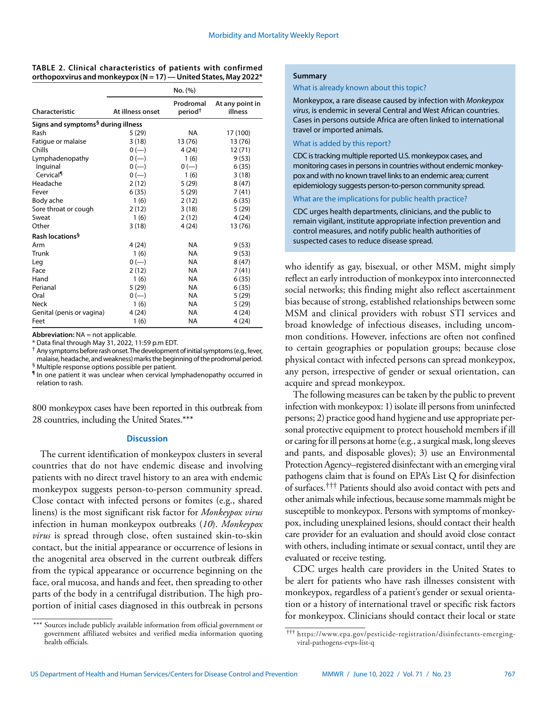|  | TABLE 2. Clinical characteristics of patients with confirmed    |  |  |
|--|-----------------------------------------------------------------|--|--|
|  | orthopoxvirus and monkeypox (N = 17) — United States, May 2022* |  |  |

|                                                |                  | No. (%)                          |                            |  |  |  |
|------------------------------------------------|------------------|----------------------------------|----------------------------|--|--|--|
| Characteristic                                 | At illness onset | Prodromal<br>period <sup>†</sup> | At any point in<br>illness |  |  |  |
| Signs and symptoms <sup>§</sup> during illness |                  |                                  |                            |  |  |  |
| Rash                                           | 5 (29)           | <b>NA</b>                        | 17 (100)                   |  |  |  |
| Fatigue or malaise                             | 3(18)            | 13 (76)                          | 13 (76)                    |  |  |  |
| Chills                                         | $0 (-)$          | 4 (24)                           | 12(71)                     |  |  |  |
| Lymphadenopathy                                | $0 (-)$          | 1(6)                             | 9(53)                      |  |  |  |
| Inguinal                                       | $0 (-)$          | $0 (-)$                          | 6(35)                      |  |  |  |
| Cervical                                       | $0 (-)$          | 1(6)                             | 3(18)                      |  |  |  |
| Headache                                       | 2(12)            | 5 (29)                           | 8(47)                      |  |  |  |
| Fever                                          | 6(35)            | 5(29)                            | 7(41)                      |  |  |  |
| Body ache                                      | 1(6)             | 2(12)                            | 6(35)                      |  |  |  |
| Sore throat or cough                           | 2(12)            | 3(18)                            | 5(29)                      |  |  |  |
| Sweat                                          | 1(6)             | 2(12)                            | 4(24)                      |  |  |  |
| Other                                          | 3(18)            | 4(24)                            | 13 (76)                    |  |  |  |
| Rash locations <sup>§</sup>                    |                  |                                  |                            |  |  |  |
| Arm                                            | 4 (24)           | NA.                              | 9(53)                      |  |  |  |
| Trunk                                          | 1(6)             | <b>NA</b>                        | 9(53)                      |  |  |  |
| Leg                                            | $0 (-)$          | NA                               | 8(47)                      |  |  |  |
| Face                                           | 2(12)            | <b>NA</b>                        | 7(41)                      |  |  |  |
| Hand                                           | 1(6)             | <b>NA</b>                        | 6(35)                      |  |  |  |
| Perianal                                       | 5(29)            | NA                               | 6(35)                      |  |  |  |
| Oral                                           | $0 (-)$          | <b>NA</b>                        | 5(29)                      |  |  |  |
| Neck                                           | 1(6)             | <b>NA</b>                        | 5(29)                      |  |  |  |
| Genital (penis or vagina)                      | 4(24)            | <b>NA</b>                        | 4(24)                      |  |  |  |
| Feet                                           | 1(6)             | NA                               | 4 (24)                     |  |  |  |

**Abbreviation:** NA = not applicable.

\* Data final through May 31, 2022, 11:59 p.m EDT.

† Any symptoms before rash onset. The development of initial symptoms (e.g., fever, malaise, headache, and weakness) marks the beginning of the prodromal period. § Multiple response options possible per patient.

¶ In one patient it was unclear when cervical lymphadenopathy occurred in relation to rash.

800 monkeypox cases have been reported in this outbreak from 28 countries, including the United States.\*\*\*

#### **Discussion**

The current identification of monkeypox clusters in several countries that do not have endemic disease and involving patients with no direct travel history to an area with endemic monkeypox suggests person-to-person community spread. Close contact with infected persons or fomites (e.g., shared linens) is the most significant risk factor for *Monkeypox virus* infection in human monkeypox outbreaks (*10*). *Monkeypox virus* is spread through close, often sustained skin-to-skin contact, but the initial appearance or occurrence of lesions in the anogenital area observed in the current outbreak differs from the typical appearance or occurrence beginning on the face, oral mucosa, and hands and feet, then spreading to other parts of the body in a centrifugal distribution. The high proportion of initial cases diagnosed in this outbreak in persons

#### **Summary**

What is already known about this topic?

Monkeypox, a rare disease caused by infection with *Monkeypox virus*, is endemic in several Central and West African countries. Cases in persons outside Africa are often linked to international travel or imported animals.

#### What is added by this report?

CDC is tracking multiple reported U.S. monkeypox cases, and monitoring cases in persons in countries without endemic monkeypox and with no known travel links to an endemic area; current epidemiology suggests person-to-person community spread.

#### What are the implications for public health practice?

CDC urges health departments, clinicians, and the public to remain vigilant, institute appropriate infection prevention and control measures, and notify public health authorities of suspected cases to reduce disease spread.

who identify as gay, bisexual, or other MSM, might simply reflect an early introduction of monkeypox into interconnected social networks; this finding might also reflect ascertainment bias because of strong, established relationships between some MSM and clinical providers with robust STI services and broad knowledge of infectious diseases, including uncommon conditions. However, infections are often not confined to certain geographies or population groups; because close physical contact with infected persons can spread monkeypox, any person, irrespective of gender or sexual orientation, can acquire and spread monkeypox.

The following measures can be taken by the public to prevent infection with monkeypox: 1) isolate ill persons from uninfected persons; 2) practice good hand hygiene and use appropriate personal protective equipment to protect household members if ill or caring for ill persons at home (e.g., a surgical mask, long sleeves and pants, and disposable gloves); 3) use an Environmental Protection Agency–registered disinfectant with an emerging viral pathogens claim that is found on EPA's List Q for disinfection of surfaces.††† Patients should also avoid contact with pets and other animals while infectious, because some mammals might be susceptible to monkeypox. Persons with symptoms of monkeypox, including unexplained lesions, should contact their health care provider for an evaluation and should avoid close contact with others, including intimate or sexual contact, until they are evaluated or receive testing.

CDC urges health care providers in the United States to be alert for patients who have rash illnesses consistent with monkeypox, regardless of a patient's gender or sexual orientation or a history of international travel or specific risk factors for monkeypox. Clinicians should contact their local or state

<sup>\*\*\*</sup> Sources include publicly available information from official government or government affiliated websites and verified media information quoting health officials.

<sup>†††</sup> [https://www.epa.gov/pesticide-registration/disinfectants-emerging](https://www.epa.gov/pesticide-registration/disinfectants-emerging- viral-pathogens-evps-list-q)[viral-pathogens-evps-list-q](https://www.epa.gov/pesticide-registration/disinfectants-emerging- viral-pathogens-evps-list-q)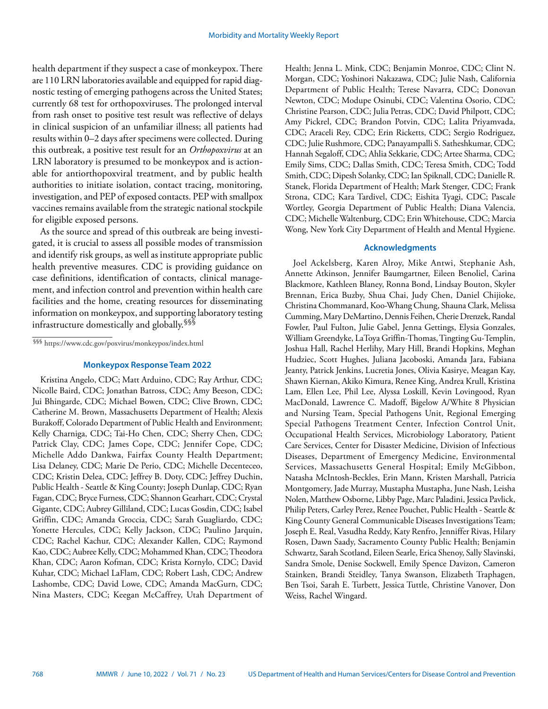health department if they suspect a case of monkeypox. There are 110 LRN laboratories available and equipped for rapid diagnostic testing of emerging pathogens across the United States; currently 68 test for orthopoxviruses. The prolonged interval from rash onset to positive test result was reflective of delays in clinical suspicion of an unfamiliar illness; all patients had results within 0–2 days after specimens were collected. During this outbreak, a positive test result for an *Orthopoxvirus* at an LRN laboratory is presumed to be monkeypox and is actionable for antiorthopoxviral treatment, and by public health authorities to initiate isolation, contact tracing, monitoring, investigation, and PEP of exposed contacts. PEP with smallpox vaccines remains available from the strategic national stockpile for eligible exposed persons.

As the source and spread of this outbreak are being investigated, it is crucial to assess all possible modes of transmission and identify risk groups, as well as institute appropriate public health preventive measures. CDC is providing guidance on case definitions, identification of contacts, clinical management, and infection control and prevention within health care facilities and the home, creating resources for disseminating information on monkeypox, and supporting laboratory testing infrastructure domestically and globally.<sup>§§§</sup>

§§§ <https://www.cdc.gov/poxvirus/monkeypox/index.html>

#### **Monkeypox Response Team 2022**

Kristina Angelo, CDC; Matt Arduino, CDC; Ray Arthur, CDC; Nicolle Baird, CDC; Jonathan Batross, CDC; Amy Beeson, CDC; Jui Bhingarde, CDC; Michael Bowen, CDC; Clive Brown, CDC; Catherine M. Brown, Massachusetts Department of Health; Alexis Burakoff, Colorado Department of Public Health and Environment; Kelly Charniga, CDC; Tai-Ho Chen, CDC; Sherry Chen, CDC; Patrick Clay, CDC; James Cope, CDC; Jennifer Cope, CDC; Michelle Addo Dankwa, Fairfax County Health Department; Lisa Delaney, CDC; Marie De Perio, CDC; Michelle Decenteceo, CDC; Kristin Delea, CDC; Jeffrey B. Doty, CDC; Jeffrey Duchin, Public Health - Seattle & King County; Joseph Dunlap, CDC; Ryan Fagan, CDC; Bryce Furness, CDC; Shannon Gearhart, CDC; Crystal Gigante, CDC; Aubrey Gilliland, CDC; Lucas Gosdin, CDC; Isabel Griffin, CDC; Amanda Groccia, CDC; Sarah Guagliardo, CDC; Yonette Hercules, CDC; Kelly Jackson, CDC; Paulino Jarquin, CDC; Rachel Kachur, CDC; Alexander Kallen, CDC; Raymond Kao, CDC; Aubree Kelly, CDC; Mohammed Khan, CDC; Theodora Khan, CDC; Aaron Kofman, CDC; Krista Kornylo, CDC; David Kuhar, CDC; Michael LaFlam, CDC; Robert Lash, CDC; Andrew Lashombe, CDC; David Lowe, CDC; Amanda MacGurn, CDC; Nina Masters, CDC; Keegan McCaffrey, Utah Department of Health; Jenna L. Mink, CDC; Benjamin Monroe, CDC; Clint N. Morgan, CDC; Yoshinori Nakazawa, CDC; Julie Nash, California Department of Public Health; Terese Navarra, CDC; Donovan Newton, CDC; Modupe Osinubi, CDC; Valentina Osorio, CDC; Christine Pearson, CDC; Julia Petras, CDC; David Philpott, CDC; Amy Pickrel, CDC; Brandon Potvin, CDC; Lalita Priyamvada, CDC; Araceli Rey, CDC; Erin Ricketts, CDC; Sergio Rodriguez, CDC; Julie Rushmore, CDC; Panayampalli S. Satheshkumar, CDC; Hannah Segaloff, CDC; Ahlia Sekkarie, CDC; Artee Sharma, CDC; Emily Sims, CDC; Dallas Smith, CDC; Teresa Smith, CDC; Todd Smith, CDC; Dipesh Solanky, CDC; Ian Spiknall, CDC; Danielle R. Stanek, Florida Department of Health; Mark Stenger, CDC; Frank Strona, CDC; Kara Tardivel, CDC; Eishita Tyagi, CDC; Pascale Wortley, Georgia Department of Public Health; Diana Valencia, CDC; Michelle Waltenburg, CDC; Erin Whitehouse, CDC; Marcia Wong, New York City Department of Health and Mental Hygiene.

#### **Acknowledgments**

Joel Ackelsberg, Karen Alroy, Mike Antwi, Stephanie Ash, Annette Atkinson, Jennifer Baumgartner, Eileen Benoliel, Carina Blackmore, Kathleen Blaney, Ronna Bond, Lindsay Bouton, Skyler Brennan, Erica Buzby, Shua Chai, Judy Chen, Daniel Chijioke, Christina Chommanard, Koo-Whang Chung, Shauna Clark, Melissa Cumming, Mary DeMartino, Dennis Feihen, Cherie Drenzek, Randal Fowler, Paul Fulton, Julie Gabel, Jenna Gettings, Elysia Gonzales, William Greendyke, LaToya Griffin-Thomas, Tingting Gu-Templin, Joshua Hall, Rachel Herlihy, Mary Hill, Brandi Hopkins, Meghan Hudziec, Scott Hughes, Juliana Jacoboski, Amanda Jara, Fabiana Jeanty, Patrick Jenkins, Lucretia Jones, Olivia Kasirye, Meagan Kay, Shawn Kiernan, Akiko Kimura, Renee King, Andrea Krull, Kristina Lam, Ellen Lee, Phil Lee, Alyssa Loskill, Kevin Lovingood, Ryan MacDonald, Lawrence C. Madoff, Bigelow A/White 8 Physician and Nursing Team, Special Pathogens Unit, Regional Emerging Special Pathogens Treatment Center, Infection Control Unit, Occupational Health Services, Microbiology Laboratory, Patient Care Services, Center for Disaster Medicine, Division of Infectious Diseases, Department of Emergency Medicine, Environmental Services, Massachusetts General Hospital; Emily McGibbon, Natasha McIntosh-Beckles, Erin Mann, Kristen Marshall, Patricia Montgomery, Jade Murray, Mustapha Mustapha, June Nash, Leisha Nolen, Matthew Osborne, Libby Page, Marc Paladini, Jessica Pavlick, Philip Peters, Carley Perez, Renee Pouchet, Public Health - Seattle & King County General Communicable Diseases Investigations Team; Joseph E. Real, Vasudha Reddy, Katy Renfro, Jenniffer Rivas, Hilary Rosen, Dawn Saady, Sacramento County Public Health; Benjamin Schwartz, Sarah Scotland, Eileen Searle, Erica Shenoy, Sally Slavinski, Sandra Smole, Denise Sockwell, Emily Spence Davizon, Cameron Stainken, Brandi Steidley, Tanya Swanson, Elizabeth Traphagen, Ben Tsoi, Sarah E. Turbett, Jessica Tuttle, Christine Vanover, Don Weiss, Rachel Wingard.